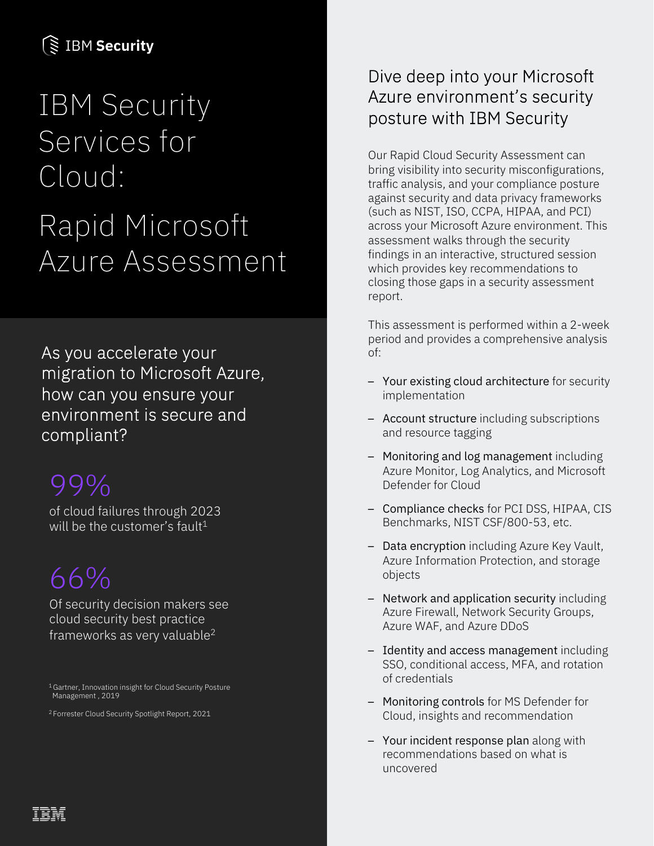### **SE IBM Security**

# IBM Security Services for Cloud: Rapid Microsoft Azure Assessment

As you accelerate your migration to Microsoft Azure, how can you ensure your environment is secure and compliant?

### 99%

of cloud failures through 2023 will be the customer's fault<sup>1</sup>

## 66%

Of security decision makers see cloud security best practice frameworks as very valuable2

1 Gartner, Innovation insight for Cloud Security Posture Management , 2019

2 Forrester Cloud Security Spotlight Report, 2021

#### Dive deep into your Microsoft Azure environment's security posture with IBM Security

Our Rapid Cloud Security Assessment can bring visibility into security misconfigurations, traffic analysis, and your compliance posture against security and data privacy frameworks (such as NIST, ISO, CCPA, HIPAA, and PCI) across your Microsoft Azure environment. This assessment walks through the security findings in an interactive, structured session which provides key recommendations to closing those gaps in a security assessment report.

This assessment is performed within a 2-week period and provides a comprehensive analysis of:

- Your existing cloud architecture for security implementation
- Account structure including subscriptions and resource tagging
- Monitoring and log management including Azure Monitor, Log Analytics, and Microsoft Defender for Cloud
- Compliance checks for PCI DSS, HIPAA, CIS Benchmarks, NIST CSF/800-53, etc.
- Data encryption including Azure Key Vault, Azure Information Protection, and storage objects
- Network and application security including Azure Firewall, Network Security Groups, Azure WAF, and Azure DDoS
- Identity and access management including SSO, conditional access, MFA, and rotation of credentials
- Monitoring controls for MS Defender for Cloud, insights and recommendation
- Your incident response plan along with recommendations based on what is uncovered